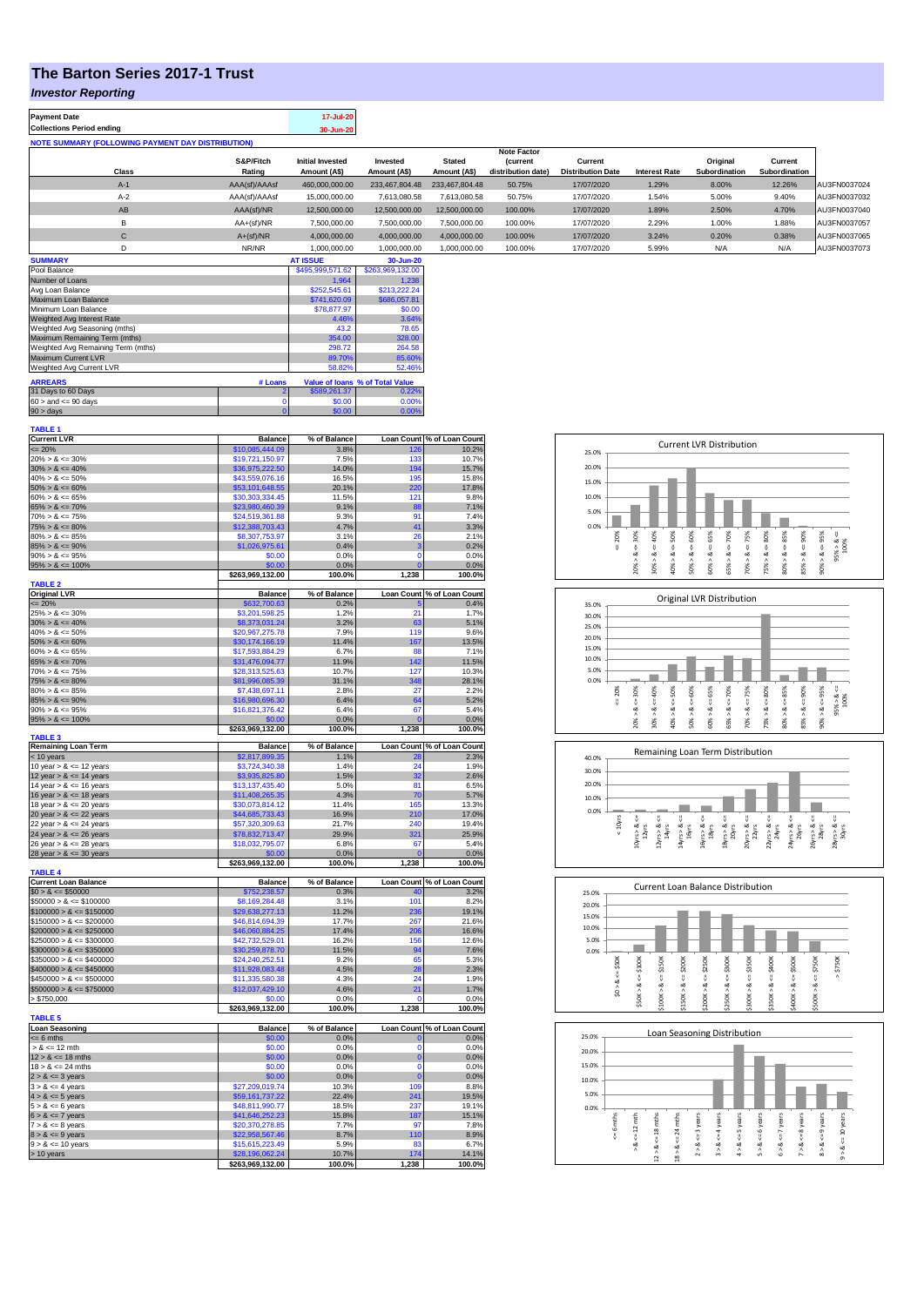## **The Barton Series 2017-1 Trust**

## *Investor Reporting*

| <b>Payment Date</b><br><b>Collections Period ending</b>  |               | 17-Jul-20<br>30-Jun-20  |                |                |                                      |                          |                      |               |               |              |
|----------------------------------------------------------|---------------|-------------------------|----------------|----------------|--------------------------------------|--------------------------|----------------------|---------------|---------------|--------------|
| <b>NOTE SUMMARY (FOLLOWING PAYMENT DAY DISTRIBUTION)</b> |               |                         |                |                |                                      |                          |                      |               |               |              |
|                                                          | S&P/Fitch     | <b>Initial Invested</b> | Invested       | <b>Stated</b>  | <b>Note Factor</b><br><b>Current</b> | Current                  |                      | Original      | Current       |              |
| Class                                                    | Rating        | Amount (A\$)            | Amount (A\$)   | Amount (A\$)   | distribution date)                   | <b>Distribution Date</b> | <b>Interest Rate</b> | Subordination | Subordination |              |
| $A-1$                                                    | AAA(sf)/AAAsf | 460,000,000.00          | 233,467,804,48 | 233.467.804.48 | 50.75%                               | 17/07/2020               | 1.29%                | 8.00%         | 12.26%        | AU3FN0037024 |
| $A-2$                                                    | AAA(sf)/AAAsf | 15,000,000.00           | 7,613,080.58   | 7.613.080.58   | 50.75%                               | 17/07/2020               | 1.54%                | 5.00%         | 9.40%         | AU3FN0037032 |
| AB                                                       | AAA(sf)/NR    | 12.500.000.00           | 12,500,000,00  | 12.500.000.00  | 100.00%                              | 17/07/2020               | 1.89%                | 2.50%         | 4.70%         | AU3FN0037040 |
| B                                                        | AA+(sf)/NR    | 7,500,000.00            | 7,500,000.00   | 7.500.000.00   | 100.00%                              | 17/07/2020               | 2.29%                | 1.00%         | 1.88%         | AU3FN0037057 |
| $\mathbf{C}$                                             | $A+(sf)/NR$   | 4.000.000.00            | 4,000,000.00   | 4.000.000.00   | 100.00%                              | 17/07/2020               | 3.24%                | 0.20%         | 0.38%         | AU3FN0037065 |
| D                                                        | NR/NR         | 1.000.000.00            | 1.000.000.00   | 1.000.000.00   | 100.00%                              | 17/07/2020               | 5.99%                | N/A           | N/A           | AU3FN0037073 |
| <b>SUMMARY</b>                                           |               | <b>AT ISSUE</b>         | 30-Jun-20      |                |                                      |                          |                      |               |               |              |

| Pool Balance                       |              | \$495,999,571.62 | \$263,969,132.00                |
|------------------------------------|--------------|------------------|---------------------------------|
| Number of Loans                    |              | 1.964            | 1.238                           |
| Avg Loan Balance                   | \$252,545.61 | \$213,222.24     |                                 |
| Maximum Loan Balance               | \$741.620.09 | \$686,057.81     |                                 |
| Minimum Loan Balance               | \$78,877.97  | \$0.00           |                                 |
| Weighted Avg Interest Rate         | 4.46%        | 3.64%            |                                 |
| Weighted Avg Seasoning (mths)      | 43.2         | 78.65            |                                 |
| Maximum Remaining Term (mths)      | 354.00       | 328.00           |                                 |
| Weighted Avg Remaining Term (mths) | 298.72       | 264.58           |                                 |
| Maximum Current LVR                | 89.70%       | 85.60%           |                                 |
| Weighted Avg Current LVR           |              | 58.82%           | 52.46%                          |
| <b>ARREARS</b>                     | # Loans      |                  | Value of Ioans % of Total Value |
| 31 Days to 60 Days                 |              | \$589.261.37     | 0.22%                           |
| $60 >$ and $\leq 90$ days          | O            | \$0.00           | 0.00%                           |
| $90 >$ days                        | 0            | \$0.00           | 0.00%                           |

| <b>TABLE 1</b>              |                  |              |                   |                            |
|-----------------------------|------------------|--------------|-------------------|----------------------------|
| <b>Current LVR</b>          | <b>Balance</b>   | % of Balance |                   | Loan Count % of Loan Count |
| $\leq$ 20%                  | \$10,085,444.09  | 3.8%         | 126               | 10.2%                      |
| $20\% > 8 \le 30\%$         | \$19,721,150.97  | 7.5%         | 133               | 10.7%                      |
| $30\% > 8 \le 40\%$         | \$36,975,222.50  | 14.0%        | 194               | 15.7%                      |
| $40\% > 8 \le 50\%$         | \$43,559,076.16  | 16.5%        | 195               | 15.8%                      |
|                             |                  |              |                   |                            |
| $50\% > 8 \le 60\%$         | \$53,101,648.55  | 20.1%        | 220               | 17.8%                      |
| $60\% > 8 \le 65\%$         | \$30,303,334.45  | 11.5%        | 121               | 9.8%                       |
| $65\% > 8 \le 70\%$         | \$23,980,460.39  | 9.1%         | 88                | 7.1%                       |
| $70\% > 8 \le 75\%$         | \$24,519,361.88  | 9.3%         | 91                | 7.4%                       |
| $75\% > 8 \le 80\%$         | \$12,388,703.43  | 4.7%         | 41                | 3.3%                       |
| $80\% > 8 \le 85\%$         | \$8,307,753.97   | 3.1%         | 26                | 2.1%                       |
| $85\% > 8 \le 90\%$         | \$1,026,975.61   | 0.4%         | з                 | 0.2%                       |
|                             | \$0.00           | 0.0%         | $\Omega$          | 0.0%                       |
| $90\% > 8 \le 95\%$         |                  |              |                   |                            |
| $95\% > 8 \le 100\%$        | \$0.00           | 0.0%         | $\Omega$          | 0.0%                       |
|                             | \$263,969,132.00 | 100.0%       | 1,238             | 100.0%                     |
| <b>TABLE 2</b>              |                  |              |                   |                            |
| <b>Original LVR</b>         | <b>Balance</b>   | % of Balance | <b>Loan Count</b> | % of Loan Count            |
| $\leq$ 20%                  | \$632,700.63     | 0.2%         |                   | 0.4%                       |
| $25\% > 8 \le 30\%$         | \$3,201,598.25   | 1.2%         | 21                | 1.7%                       |
| $30\% > 8 \le 40\%$         | \$8,373,031.24   | 3.2%         | 63                | 5.1%                       |
| $40\% > 8 \le 50\%$         | \$20,967,275.78  | 7.9%         | 119               | 9.6%                       |
|                             |                  |              |                   |                            |
| $50\% > 8 \le 60\%$         | \$30,174,166.19  | 11.4%        | 167               | 13.5%                      |
| $60\% > 8 \le 65\%$         | \$17,593,884.29  | 6.7%         | 88                | 7.1%                       |
| $65\% > 8 \le 70\%$         | \$31,476,094.77  | 11.9%        | 142               | 11.5%                      |
| $70\% > 8 \le 75\%$         | \$28,313,525.63  | 10.7%        | 127               | 10.3%                      |
| $75\% > 8 \le 80\%$         | \$81,996,085.39  | 31.1%        | 348               | 28.1%                      |
| $80\% > 8 \le 85\%$         | \$7,438,697.11   | 2.8%         | 27                | 2.2%                       |
| $85\% > 8 \le 90\%$         | \$16,980,696.30  | 6.4%         | 64                | 5.2%                       |
| $90\% > 8 \le 95\%$         | \$16,821,376.42  | 6.4%         | 67                | 5.4%                       |
|                             | \$0.00           |              |                   |                            |
| $95\% > 8 \le 100\%$        |                  | 0.0%         |                   | 0.0%                       |
| <b>TABLE 3</b>              | \$263,969,132.00 | 100.0%       | 1,238             | 100.0%                     |
|                             |                  |              |                   |                            |
| <b>Remaining Loan Term</b>  | <b>Balance</b>   | % of Balance |                   | Loan Count % of Loan Count |
| < 10 years                  | \$2,817,899.35   | 1.1%         |                   | 2.3%                       |
| 10 year $> 8 \le 12$ years  | \$3,724,340.38   | 1.4%         | 24                | 1.9%                       |
| 12 year $> 8 \le 14$ years  | \$3,935,825.80   | 1.5%         | 32                | 2.6%                       |
| 14 year $> 8 \le 16$ years  | \$13,137,435.40  | 5.0%         | 81                | 6.5%                       |
| 16 year $> 8 \le 18$ years  | \$11,408,265.35  | 4.3%         | 70                | 5.7%                       |
| 18 year $> 8 \le 20$ years  | \$30,073,814.12  | 11.4%        | 165               | 13.3%                      |
| 20 year $> 8 \le 22$ years  | \$44,685,733.43  | 16.9%        | 210               | 17.0%                      |
| 22 year $> 8 \le 24$ years  | \$57,320,309.63  | 21.7%        | 240               | 19.4%                      |
|                             |                  |              |                   |                            |
| 24 year $> 8 \le 26$ years  | \$78,832,713.47  | 29.9%        | 321               | 25.9%                      |
| 26 year $> 8 \le 28$ years  | \$18,032,795.07  | 6.8%         | 67                | 5.4%                       |
| 28 year $> 8 \le 30$ years  | \$0.00           | 0.0%         |                   | 0.0%                       |
|                             | \$263,969,132.00 | 100.0%       | 1,238             | 100.0%                     |
| <b>TABLE 4</b>              |                  |              |                   |                            |
| <b>Current Loan Balance</b> | <b>Balance</b>   | % of Balance |                   | Loan Count % of Loan Count |
| $$0 > 8 \leq $50000$        | \$752,238.57     | 0.3%         | 40                | 3.2%                       |
| $$50000 > 8 \le $100000$    | \$8,169,284.48   | 3.1%         | 101               | 8.2%                       |
| $$100000 > 8 \le $150000$   | \$29,638,277.13  | 11.2%        | 236               | 19.1%                      |
| $$150000 > 8 \le $200000$   | \$46,814,694.39  | 17.7%        | 267               | 21.6%                      |
|                             |                  |              |                   |                            |
| $$200000 > 8 \le $250000$   | \$46,060,884.25  | 17.4%        | 206               | 16.6%                      |
| $$250000 > 8 \leq $300000$  | \$42,732,529.01  | 16.2%        | 156               | 12.6%                      |
| $$300000 > 8 \leq $350000$  | \$30,259,878.70  | 11.5%        | 94                | 7.6%                       |
| $$350000 > 8 \le $400000$   | \$24,240,252.51  | 9.2%         | 65                | 5.3%                       |
| $$400000 > 8 \le $450000$   | \$11,928,083.48  | 4.5%         | 28                | 2.3%                       |
| $$450000 > 8 \le $500000$   | \$11,335,580.38  | 4.3%         | 24                | 1.9%                       |
| $$500000 > 8 \leq $750000$  | \$12,037,429.10  | 4.6%         | 21                | 1.7%                       |
|                             | \$0.00           | 0.0%         | n                 |                            |
| > \$750,000                 |                  |              |                   | 0.0%                       |
|                             | \$263,969,132.00 | 100.0%       | 1,238             | 100.0%                     |
| <b>TABLE 5</b>              |                  |              |                   |                            |
| <b>Loan Seasoning</b>       | <b>Balance</b>   | % of Balance | Loan Count        | % of Loan Count            |
| $= 6$ mths                  | \$0.00           | 0.0%         | $\Omega$          | 0.0%                       |
| $> 8 \le 12$ mth            | \$0.00           | 0.0%         | n                 | 0.0%                       |
| $12 > 8 \le 18$ mths        | \$0.00           | 0.0%         | 0                 | 0.0%                       |
| $18 > 8 \le 24$ mths        | \$0.00           | 0.0%         | $\Omega$          | 0.0%                       |
| $2 > 8 \le 3$ years         | \$0.00           | 0.0%         | $\Omega$          | 0.0%                       |
|                             | \$27,209,019.74  |              | 109               |                            |
| $3 > 8 \leq 4$ years        |                  | 10.3%        |                   | 8.8%                       |
| $4 > 8 \le 5$ years         | \$59,161,737.22  | 22.4%        | 241               | 19.5%                      |
| $5 > 8 \le 6$ years         | \$48,811,990.77  | 18.5%        | 237               | 19.1%                      |
| $6 > 8 \le 7$ years         | \$41,646,252.23  | 15.8%        | 187               | 15.1%                      |
| $7 > 8 \le 8$ years         | \$20,370,278.85  | 7.7%         | 97                | 7.8%                       |
| $8 > 8 \le 9$ years         | \$22,958,567.46  | 8.7%         | 110               | 8.9%                       |
| $9 > 8 \le 10$ years        | \$15,615,223.49  | 5.9%         | 83                | 6.7%                       |
| > 10 years                  | \$28,196,062.24  | 10.7%        | 174               | 14.1%                      |
|                             | \$263.969.132.00 | 100.0%       | 1.238             | 100.0%                     |
|                             |                  |              |                   |                            |

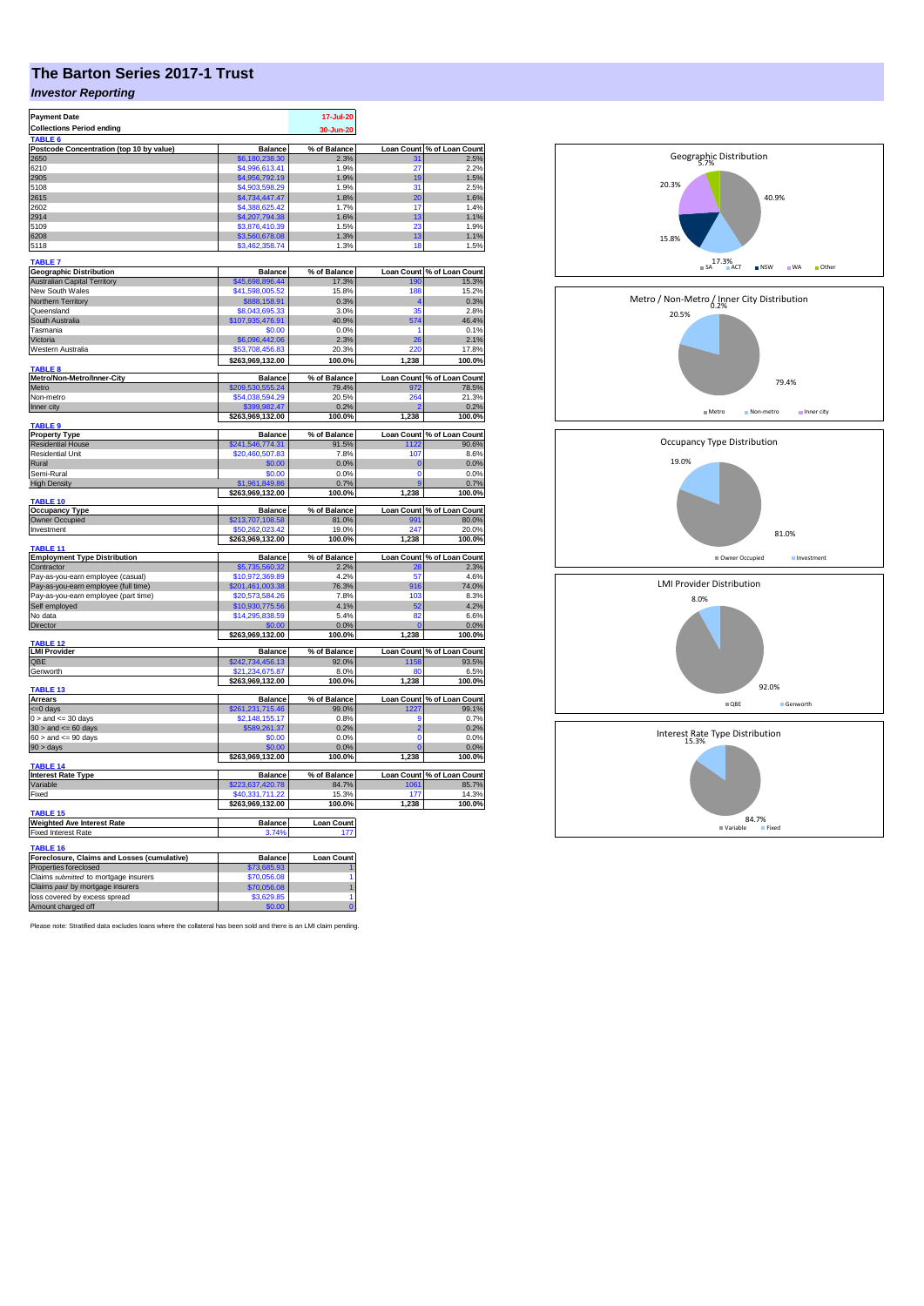## **The Barton Series 2017-1 Trust**

## *Investor Reporting*

| <b>Payment Date</b>                         |                                     | 17-Jul-20         |                |                            |
|---------------------------------------------|-------------------------------------|-------------------|----------------|----------------------------|
| <b>Collections Period ending</b>            |                                     | 30-Jun-20         |                |                            |
| <b>TABLE</b>                                |                                     |                   |                |                            |
| Postcode Concentration (top 10 by value)    | <b>Balance</b>                      | % of Balance      |                | Loan Count % of Loan Count |
| 2650                                        | \$6,180,238,30                      | 2.3%              | 31             | 2.5%                       |
| 6210                                        | \$4,996,613.41                      | 1.9%              | 27             | 2.2%                       |
| 2905                                        | \$4,956,792.19                      | 1.9%              | 19             | 1.5%                       |
| 5108                                        | \$4,903,598.29                      | 1.9%              | 31             | 2.5%                       |
| 2615                                        | \$4,734,447.47                      | 1.8%              | 20             | 1.6%                       |
| 2602                                        | \$4,388,625.42                      | 1.7%              | 17             | 1.4%                       |
| 2914                                        | \$4,207,794.38                      | 1.6%              | 13             | 1.1%                       |
| 5109                                        | \$3,876,410.39                      | 1.5%              | 23             | 1.9%                       |
| 6208                                        | \$3,560,678.08                      | 1.3%              | 13             | 1.1%                       |
| 5118                                        | \$3,462,358.74                      | 1.3%              | 18             | 1.5%                       |
|                                             |                                     |                   |                |                            |
| <b>TABLE 7</b>                              |                                     |                   |                |                            |
| <b>Geographic Distribution</b>              | <b>Balance</b>                      | % of Balance      |                | Loan Count % of Loan Count |
| <b>Australian Capital Territory</b>         | \$45,698,896.44                     | 17.3%             | 190            | 15.3%                      |
| New South Wales                             | \$41,598,005.52                     | 15.8%             | 188            | 15.2%                      |
| Northern Territory                          | \$888,158.91                        | 0.3%              |                | 0.3%                       |
| Queensland                                  | \$8,043,695.33                      | 3.0%              | 35             | 2.8%                       |
| South Australia                             | \$107,935,476.91                    | 40.9%             | 574            | 46.4%                      |
| Tasmania                                    | \$0.00                              | 0.0%              |                | 0.1%                       |
| Victoria                                    | \$6,096,442.06                      | 2.3%              | 26             | 2.1%                       |
| Western Australia                           | \$53,708,456,83                     | 20.3%             | 220            | 17.8%                      |
|                                             |                                     | 100.0%            | 1,238          | 100.0%                     |
| TABLE <sub>8</sub>                          | \$263,969,132.00                    |                   |                |                            |
| Metro/Non-Metro/Inner-City                  | <b>Balance</b>                      | % of Balance      |                | Loan Count % of Loan Count |
| Metro                                       | \$209,530,555.24                    | 79.4%             | 972            | 78.5%                      |
| Non-metro                                   | \$54,038,594.29                     | 20.5%             | 264            | 21.3%                      |
| Inner city                                  | \$399,982.47                        | 0.2%              |                | 0.2%                       |
|                                             | \$263,969,132.00                    | 100.0%            | 1,238          | 100.0%                     |
| TABLE <sub>9</sub>                          |                                     |                   |                |                            |
| <b>Property Type</b>                        | <b>Balance</b>                      | % of Balance      |                | Loan Count % of Loan Count |
| <b>Residential House</b>                    | \$241,546,774.31                    | 91.5%             | 1122           | 90.6%                      |
| <b>Residential Unit</b>                     | \$20,460,507.83                     | 7.8%              | 107            | 8.6%                       |
| Rural                                       | \$0.00                              | 0.0%              | O              | 0.0%                       |
| Semi-Rural                                  | \$0.00                              | 0.0%              | $\Omega$       | 0.0%                       |
| <b>High Density</b>                         | \$1,961,849.86                      | 0.7%              | g              | 0.7%                       |
|                                             | \$263,969,132.00                    | 100.0%            | 1,238          | 100.0%                     |
| TABLE 10                                    |                                     |                   |                |                            |
| <b>Occupancy Type</b>                       | <b>Balance</b>                      | % of Balance      |                | Loan Count % of Loan Count |
| Owner Occupied                              | \$213,707,108.58                    | 81.0%             | 991            | 80.0%                      |
| Investment                                  | 50,262,023.42                       | 19.0%             | 247            | 20.0%                      |
|                                             | \$263,969,132.00                    | 100.0%            | 1,238          | 100.0%                     |
| TABLE 11                                    |                                     |                   |                |                            |
| <b>Employment Type Distribution</b>         | Balance                             | % of Balance      |                | Loan Count % of Loan Count |
| Contractor                                  | \$5.735.560.32                      | 2.2%              | 28             | 2.3%                       |
| Pay-as-you-earn employee (casual)           | \$10.972.369.89                     | 4.2%              | 57             | 4.6%                       |
| Pay-as-you-earn employee (full time)        | \$201,461,003.38                    | 76.3%             | 916            | 74.0%                      |
| Pay-as-you-earn employee (part time)        | \$20,573,584.26                     | 7.8%              | 103            | 8.3%                       |
|                                             |                                     |                   | 52             | 4.2%                       |
| Self employed                               | \$10,930,775.56                     | 4.1%              |                |                            |
| No data                                     | \$14,295,838.59                     | 5.4%              | 82             | 6.6%                       |
| Director                                    | \$0.00                              | 0.0%              |                | 0.0%                       |
| <b>ABLE 12</b>                              | \$263,969,132.00                    | 100.0%            | 1,238          | 100.0%                     |
| <b>LMI Provider</b>                         | <b>Balance</b>                      | % of Balance      |                | Loan Count % of Loan Count |
| QBE                                         | \$242,734,456.13                    | 92.0%             | 1158           | 93.5%                      |
| Genworth                                    | \$21,234,675.87                     | 8.0%              | 80             | 6.5%                       |
|                                             | \$263,969,132.00                    | 100.0%            | 1,238          | 100.0%                     |
| <b>TABLE 13</b>                             |                                     |                   |                |                            |
| <b>Arrears</b>                              | <b>Balance</b>                      | % of Balance      |                | Loan Count % of Loan Count |
| <= 0 days                                   | \$261,231,715.46                    | 99.0%             | 1227           | 99.1%                      |
| $0 >$ and $\leq 30$ days                    | \$2,148,155.17                      | 0.8%              | g              | 0.7%                       |
| $30 >$ and $\leq 60$ days                   | \$589,261.37                        | 0.2%              | $\overline{2}$ | 0.2%                       |
| $60 >$ and $<= 90$ days                     | \$0.00                              | 0.0%              | $\Omega$       | 0.0%                       |
|                                             | \$0.00                              | 0.0%              |                | 0.0%                       |
| $90 > \text{days}$                          |                                     | 100.0%            |                | 100.0%                     |
| TABLE 14                                    | \$263,969,132.00                    |                   | 1,238          |                            |
| <b>Interest Rate Type</b>                   | <b>Balance</b>                      | % of Balance      |                | Loan Count % of Loan Count |
| Variable                                    | \$223,637,420.78                    | 84.7%             | 1061           | 85.7%                      |
|                                             |                                     |                   |                |                            |
| Fixed                                       | \$40,331,711.22<br>\$263,969,132.00 | 15.3%<br>100.0%   | 177<br>1,238   | 14.3%<br>100.0%            |
| <b>TABLE 15</b>                             |                                     |                   |                |                            |
| <b>Weighted Ave Interest Rate</b>           | <b>Balance</b>                      | <b>Loan Count</b> |                |                            |
| Fixed Interest Rate                         | 3.74%                               | 177               |                |                            |
|                                             |                                     |                   |                |                            |
| TABLE 16                                    |                                     |                   |                |                            |
| Foreclosure, Claims and Losses (cumulative) | <b>Balance</b>                      | <b>Loan Count</b> |                |                            |
| Properties foreclosed                       | \$73,685.93                         |                   |                |                            |
| Claims submitted to mortgage insurers       | \$70.056.08                         |                   |                |                            |
| Claims paid by mortgage insurers            | \$70,056.08                         |                   |                |                            |
| loss covered by excess spread               | \$3,629.85                          | 1                 |                |                            |
| Amount charged off                          | \$0.00                              |                   |                |                            |
|                                             |                                     |                   |                |                            |

Please note: Stratified data excludes loans where the collateral has been sold and there is an LMI claim pending.